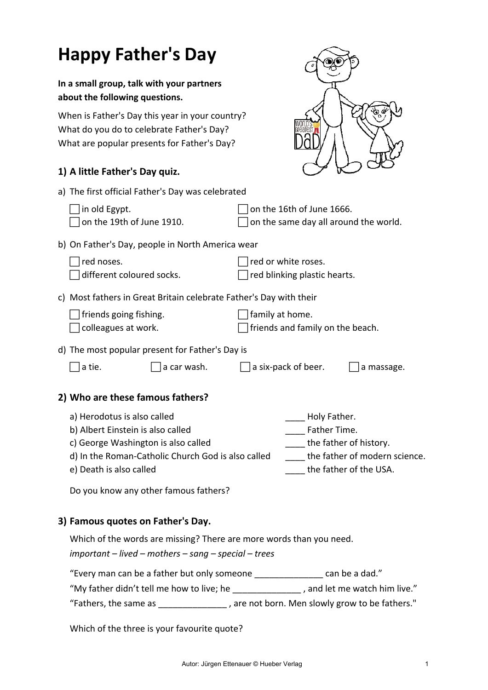| <b>Happy Father's Day</b>                                                                                                                                                                                                         |                                                                                                                                                                                 |
|-----------------------------------------------------------------------------------------------------------------------------------------------------------------------------------------------------------------------------------|---------------------------------------------------------------------------------------------------------------------------------------------------------------------------------|
| In a small group, talk with your partners<br>about the following questions.                                                                                                                                                       |                                                                                                                                                                                 |
| When is Father's Day this year in your country?<br>What do you do to celebrate Father's Day?<br>What are popular presents for Father's Day?                                                                                       |                                                                                                                                                                                 |
| 1) A little Father's Day quiz.                                                                                                                                                                                                    |                                                                                                                                                                                 |
| a) The first official Father's Day was celebrated                                                                                                                                                                                 |                                                                                                                                                                                 |
| in old Egypt.<br>on the 19th of June 1910.                                                                                                                                                                                        | on the 16th of June 1666.<br>on the same day all around the world.                                                                                                              |
| b) On Father's Day, people in North America wear                                                                                                                                                                                  |                                                                                                                                                                                 |
| red noses.<br>different coloured socks.                                                                                                                                                                                           | red or white roses.<br>red blinking plastic hearts.                                                                                                                             |
| c) Most fathers in Great Britain celebrate Father's Day with their                                                                                                                                                                |                                                                                                                                                                                 |
| friends going fishing.<br>colleagues at work.                                                                                                                                                                                     | family at home.<br>friends and family on the beach.                                                                                                                             |
| d) The most popular present for Father's Day is                                                                                                                                                                                   |                                                                                                                                                                                 |
| a tie.<br>a car wash.                                                                                                                                                                                                             | a six-pack of beer.<br>a massage.                                                                                                                                               |
| 2) Who are these famous fathers?                                                                                                                                                                                                  |                                                                                                                                                                                 |
| a) Herodotus is also called<br>b) Albert Einstein is also called<br>c) George Washington is also called<br>d) In the Roman-Catholic Church God is also called<br>e) Death is also called<br>Do you know any other famous fathers? | Holy Father.<br>Father Time.<br>the father of history.<br>the father of modern science.<br>the father of the USA.                                                               |
| 3) Famous quotes on Father's Day.                                                                                                                                                                                                 |                                                                                                                                                                                 |
| Which of the words are missing? There are more words than you need.                                                                                                                                                               |                                                                                                                                                                                 |
| $important$ – lived – mothers – sang – special – trees                                                                                                                                                                            |                                                                                                                                                                                 |
| "Every man can be a father but only someone _________________ can be a dad."                                                                                                                                                      | "My father didn't tell me how to live; he ________________, and let me watch him live."<br>"Fathers, the same as _______________, are not born. Men slowly grow to be fathers." |
|                                                                                                                                                                                                                                   |                                                                                                                                                                                 |

Which of the three is your favourite quote?